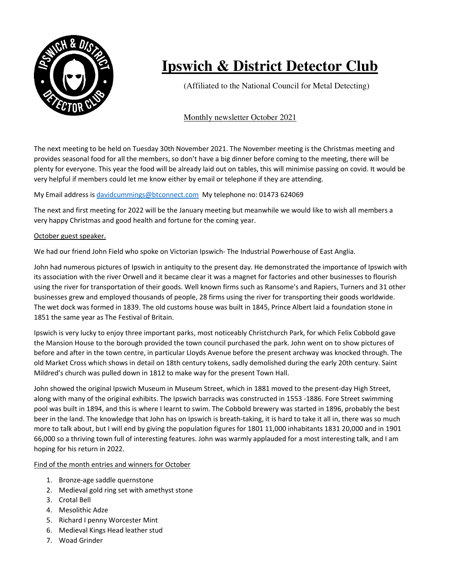

## **Ipswich & District Detector Club**

(Affiliated to the National Council for Metal Detecting)

## Monthly newsletter October 2021

The next meeting to be held on Tuesday 30th November 2021. The November meeting is the Christmas meeting and provides seasonal food for all the members, so don't have a big dinner before coming to the meeting, there will be plenty for everyone. This year the food will be already laid out on tables, this will minimise passing on covid. It would be very helpful if members could let me know either by email or telephone if they are attending.

## My Email address is davidcummings@btconnect.com My telephone no: 01473 624069

The next and first meeting for 2022 will be the January meeting but meanwhile we would like to wish all members a very happy Christmas and good health and fortune for the coming year.

## October guest speaker.

We had our friend John Field who spoke on Victorian Ipswich- The Industrial Powerhouse of East Anglia.

John had numerous pictures of Ipswich in antiquity to the present day. He demonstrated the importance of Ipswich with its association with the river Orwell and it became clear it was a magnet for factories and other businesses to flourish using the river for transportation of their goods. Well known firms such as Ransome's and Rapiers, Turners and 31 other businesses grew and employed thousands of people, 28 firms using the river for transporting their goods worldwide. The wet dock was formed in 1839. The old customs house was built in 1845, Prince Albert laid a foundation stone in 1851 the same year as The Festival of Britain.

Ipswich is very lucky to enjoy three important parks, most noticeably Christchurch Park, for which Felix Cobbold gave the Mansion House to the borough provided the town council purchased the park. John went on to show pictures of before and after in the town centre, in particular Lloyds Avenue before the present archway was knocked through. The old Market Cross which shows in detail on 18th century tokens, sadly demolished during the early 20th century. Saint Mildred's church was pulled down in 1812 to make way for the present Town Hall.

John showed the original Ipswich Museum in Museum Street, which in 1881 moved to the present-day High Street, along with many of the original exhibits. The Ipswich barracks was constructed in 1553 -1886. Fore Street swimming pool was built in 1894, and this is where I learnt to swim. The Cobbold brewery was started in 1896, probably the best beer in the land. The knowledge that John has on Ipswich is breath-taking, it is hard to take it all in, there was so much more to talk about, but I will end by giving the population figures for 1801 11,000 inhabitants 1831 20,000 and in 1901 66,000 so a thriving town full of interesting features. John was warmly applauded for a most interesting talk, and I am hoping for his return in 2022.

Find of the month entries and winners for October

- 1. Bronze-age saddle quernstone
- 2. Medieval gold ring set with amethyst stone
- 3. Crotal Bell
- 4. Mesolithic Adze
- 5. Richard I penny Worcester Mint
- 6. Medieval Kings Head leather stud
- 7. Woad Grinder